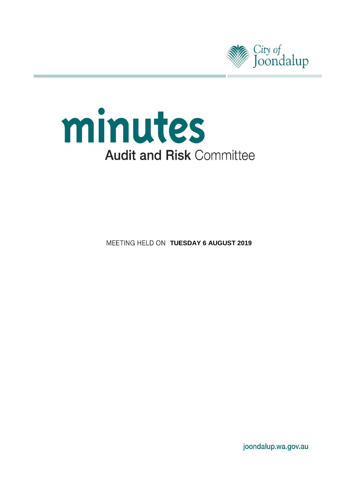



**MEETING HELD ON TUESDAY 6 AUGUST 2019** 

joondalup.wa.gov.au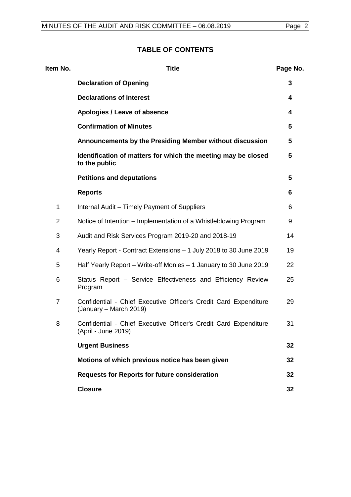# **TABLE OF CONTENTS**

| Item No.       | <b>Title</b>                                                                               | Page No. |
|----------------|--------------------------------------------------------------------------------------------|----------|
|                | <b>Declaration of Opening</b>                                                              | 3        |
|                | <b>Declarations of Interest</b>                                                            | 4        |
|                | Apologies / Leave of absence                                                               | 4        |
|                | <b>Confirmation of Minutes</b>                                                             | 5        |
|                | Announcements by the Presiding Member without discussion                                   | 5        |
|                | Identification of matters for which the meeting may be closed<br>to the public             | 5        |
|                | <b>Petitions and deputations</b>                                                           | 5        |
|                | <b>Reports</b>                                                                             | 6        |
| $\mathbf 1$    | Internal Audit - Timely Payment of Suppliers                                               | 6        |
| $\overline{2}$ | Notice of Intention – Implementation of a Whistleblowing Program                           | 9        |
| 3              | Audit and Risk Services Program 2019-20 and 2018-19                                        | 14       |
| 4              | Yearly Report - Contract Extensions - 1 July 2018 to 30 June 2019                          | 19       |
| 5              | Half Yearly Report – Write-off Monies – 1 January to 30 June 2019                          | 22       |
| 6              | Status Report - Service Effectiveness and Efficiency Review<br>Program                     | 25       |
| $\overline{7}$ | Confidential - Chief Executive Officer's Credit Card Expenditure<br>(January – March 2019) | 29       |
| 8              | Confidential - Chief Executive Officer's Credit Card Expenditure<br>(April - June 2019)    | 31       |
|                | <b>Urgent Business</b>                                                                     | 32       |
|                | Motions of which previous notice has been given                                            | 32       |
|                | <b>Requests for Reports for future consideration</b>                                       | 32       |
|                | <b>Closure</b>                                                                             | 32       |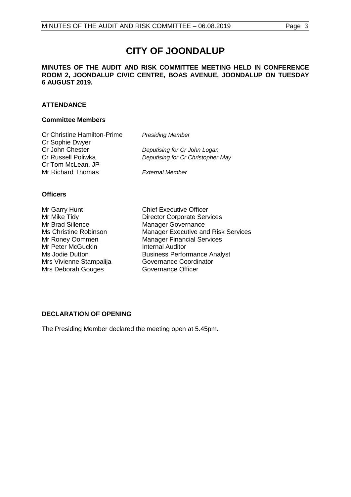# **CITY OF JOONDALUP**

### **MINUTES OF THE AUDIT AND RISK COMMITTEE MEETING HELD IN CONFERENCE ROOM 2, JOONDALUP CIVIC CENTRE, BOAS AVENUE, JOONDALUP ON TUESDAY 6 AUGUST 2019.**

### **ATTENDANCE**

### **Committee Members**

| <b>Cr Christine Hamilton-Prime</b> | <b>Presiding Member</b>           |
|------------------------------------|-----------------------------------|
| Cr Sophie Dwyer                    |                                   |
| Cr John Chester                    | Deputising for Cr John Logan      |
| Cr Russell Poliwka                 | Deputising for Cr Christopher May |
| Cr Tom McLean, JP                  |                                   |
| Mr Richard Thomas                  | <b>External Member</b>            |

### **Officers**

| Mr Garry Hunt           |
|-------------------------|
| Mr Mike Tidy            |
| Mr Brad Sillence        |
| Ms Christine Robinson   |
| Mr Roney Oommen         |
| Mr Peter McGuckin       |
| Ms Jodie Dutton         |
| Mrs Vivienne Stampalija |
| Mrs Deborah Gouges      |

**Chief Executive Officer** Director Corporate Services Manager Governance Manager Executive and Risk Services Manager Financial Services **Internal Auditor** Business Performance Analyst Governance Coordinator Governance Officer

### <span id="page-2-0"></span>**DECLARATION OF OPENING**

<span id="page-2-1"></span>The Presiding Member declared the meeting open at 5.45pm.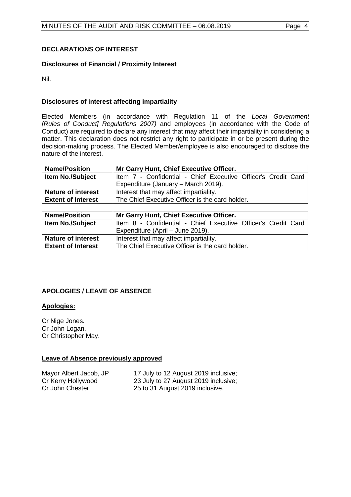### **DECLARATIONS OF INTEREST**

### **Disclosures of Financial / Proximity Interest**

Nil.

### **Disclosures of interest affecting impartiality**

Elected Members (in accordance with Regulation 11 of the *Local Government [Rules of Conduct] Regulations 2007)* and employees (in accordance with the Code of Conduct) are required to declare any interest that may affect their impartiality in considering a matter. This declaration does not restrict any right to participate in or be present during the decision-making process. The Elected Member/employee is also encouraged to disclose the nature of the interest.

| <b>Name/Position</b>      | Mr Garry Hunt, Chief Executive Officer.                       |  |
|---------------------------|---------------------------------------------------------------|--|
| <b>Item No./Subject</b>   | Item 7 - Confidential - Chief Executive Officer's Credit Card |  |
|                           | Expenditure (January - March 2019).                           |  |
| <b>Nature of interest</b> | Interest that may affect impartiality.                        |  |
| <b>Extent of Interest</b> | The Chief Executive Officer is the card holder.               |  |

| <b>Name/Position</b><br>Mr Garry Hunt, Chief Executive Officer. |                                                               |  |
|-----------------------------------------------------------------|---------------------------------------------------------------|--|
| <b>Item No./Subject</b>                                         | Item 8 - Confidential - Chief Executive Officer's Credit Card |  |
|                                                                 | Expenditure (April – June 2019).                              |  |
| <b>Nature of interest</b>                                       | Interest that may affect impartiality.                        |  |
| <b>Extent of Interest</b>                                       | The Chief Executive Officer is the card holder.               |  |

### <span id="page-3-0"></span>**APOLOGIES / LEAVE OF ABSENCE**

### **Apologies:**

Cr Nige Jones. Cr John Logan. Cr Christopher May.

### **Leave of Absence previously approved**

<span id="page-3-1"></span>Mayor Albert Jacob, JP 17 July to 12 August 2019 inclusive;<br>Cr Kerry Hollywood 23 July to 27 August 2019 inclusive; Cr Kerry Hollywood 23 July to 27 August 2019 inclusive;<br>
Cr John Chester
25 to 31 August 2019 inclusive. 25 to 31 August 2019 inclusive.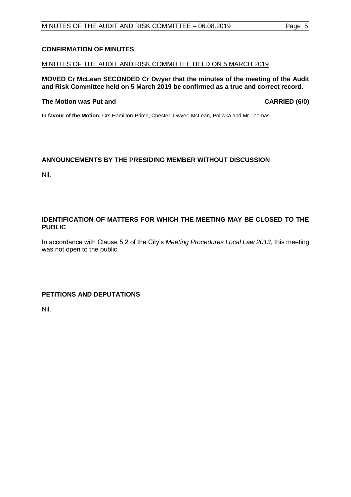### **CONFIRMATION OF MINUTES**

### MINUTES OF THE AUDIT AND RISK COMMITTEE HELD ON 5 MARCH 2019

**MOVED Cr McLean SECONDED Cr Dwyer that the minutes of the meeting of the Audit and Risk Committee held on 5 March 2019 be confirmed as a true and correct record.**

### **The Motion was Put and CARRIED (6/0)**

**In favour of the Motion:** Crs Hamilton-Prime, Chester, Dwyer, McLean, Poliwka and Mr Thomas.

### <span id="page-4-0"></span>**ANNOUNCEMENTS BY THE PRESIDING MEMBER WITHOUT DISCUSSION**

Nil.

### <span id="page-4-1"></span>**IDENTIFICATION OF MATTERS FOR WHICH THE MEETING MAY BE CLOSED TO THE PUBLIC**

In accordance with Clause 5.2 of the City's *Meeting Procedures Local Law 2013*, this meeting was not open to the public.

### <span id="page-4-2"></span>**PETITIONS AND DEPUTATIONS**

Nil.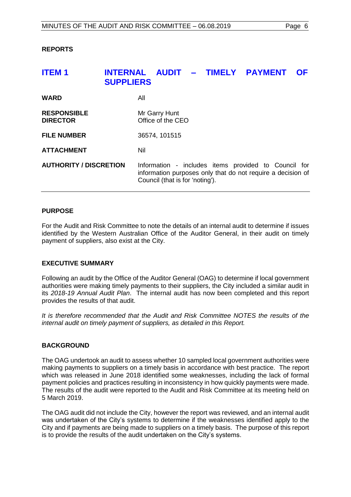### <span id="page-5-0"></span>**REPORTS**

# <span id="page-5-1"></span>**ITEM 1 INTERNAL AUDIT – TIMELY PAYMENT OF SUPPLIERS WARD** All **RESPONSIBLE** Mr Garry Hunt<br> **DIRECTOR** Office of the C **Diffice of the CEO FILE NUMBER** 36574, 101515 **ATTACHMENT** Nil **AUTHORITY / DISCRETION** Information - includes items provided to Council for information purposes only that do not require a decision of Council (that is for 'noting').

### **PURPOSE**

For the Audit and Risk Committee to note the details of an internal audit to determine if issues identified by the Western Australian Office of the Auditor General, in their audit on timely payment of suppliers, also exist at the City.

### **EXECUTIVE SUMMARY**

Following an audit by the Office of the Auditor General (OAG) to determine if local government authorities were making timely payments to their suppliers, the City included a similar audit in its *2018-19 Annual Audit Plan*. The internal audit has now been completed and this report provides the results of that audit.

*It is therefore recommended that the Audit and Risk Committee NOTES the results of the internal audit on timely payment of suppliers, as detailed in this Report.*

### **BACKGROUND**

The OAG undertook an audit to assess whether 10 sampled local government authorities were making payments to suppliers on a timely basis in accordance with best practice. The report which was released in June 2018 identified some weaknesses, including the lack of formal payment policies and practices resulting in inconsistency in how quickly payments were made. The results of the audit were reported to the Audit and Risk Committee at its meeting held on 5 March 2019.

The OAG audit did not include the City, however the report was reviewed, and an internal audit was undertaken of the City's systems to determine if the weaknesses identified apply to the City and if payments are being made to suppliers on a timely basis. The purpose of this report is to provide the results of the audit undertaken on the City's systems.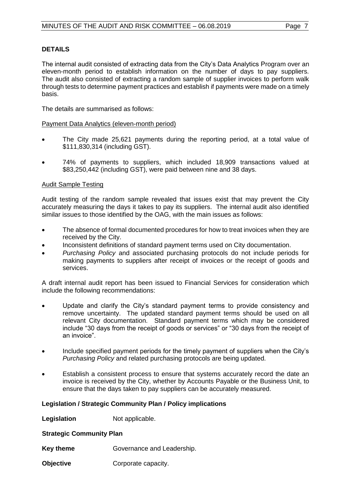### **DETAILS**

The internal audit consisted of extracting data from the City's Data Analytics Program over an eleven-month period to establish information on the number of days to pay suppliers. The audit also consisted of extracting a random sample of supplier invoices to perform walk through tests to determine payment practices and establish if payments were made on a timely basis.

The details are summarised as follows:

### Payment Data Analytics (eleven-month period)

- The City made 25,621 payments during the reporting period, at a total value of \$111,830,314 (including GST).
- 74% of payments to suppliers, which included 18,909 transactions valued at \$83,250,442 (including GST), were paid between nine and 38 days.

### Audit Sample Testing

Audit testing of the random sample revealed that issues exist that may prevent the City accurately measuring the days it takes to pay its suppliers. The internal audit also identified similar issues to those identified by the OAG, with the main issues as follows:

- The absence of formal documented procedures for how to treat invoices when they are received by the City.
- Inconsistent definitions of standard payment terms used on City documentation.
- *Purchasing Policy* and associated purchasing protocols do not include periods for making payments to suppliers after receipt of invoices or the receipt of goods and services.

A draft internal audit report has been issued to Financial Services for consideration which include the following recommendations:

- Update and clarify the City's standard payment terms to provide consistency and remove uncertainty. The updated standard payment terms should be used on all relevant City documentation. Standard payment terms which may be considered include "30 days from the receipt of goods or services" or "30 days from the receipt of an invoice".
- Include specified payment periods for the timely payment of suppliers when the City's *Purchasing Policy* and related purchasing protocols are being updated.
- Establish a consistent process to ensure that systems accurately record the date an invoice is received by the City, whether by Accounts Payable or the Business Unit, to ensure that the days taken to pay suppliers can be accurately measured.

### **Legislation / Strategic Community Plan / Policy implications**

**Legislation** Not applicable.

**Strategic Community Plan**

**Key theme** Governance and Leadership.

**Objective Corporate capacity.**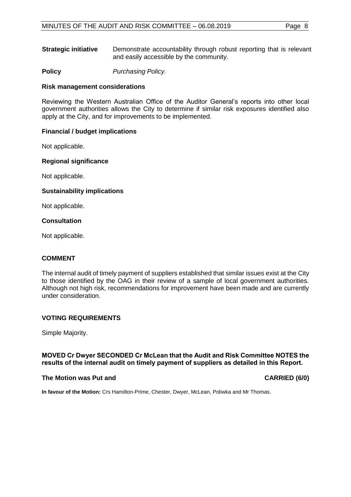**Strategic initiative** Demonstrate accountability through robust reporting that is relevant and easily accessible by the community.

**Policy** *Purchasing Policy.*

### **Risk management considerations**

Reviewing the Western Australian Office of the Auditor General's reports into other local government authorities allows the City to determine if similar risk exposures identified also apply at the City, and for improvements to be implemented.

### **Financial / budget implications**

Not applicable.

### **Regional significance**

Not applicable.

### **Sustainability implications**

Not applicable.

### **Consultation**

Not applicable.

### **COMMENT**

The internal audit of timely payment of suppliers established that similar issues exist at the City to those identified by the OAG in their review of a sample of local government authorities. Although not high risk, recommendations for improvement have been made and are currently under consideration.

### **VOTING REQUIREMENTS**

Simple Majority.

### **MOVED Cr Dwyer SECONDED Cr McLean that the Audit and Risk Committee NOTES the results of the internal audit on timely payment of suppliers as detailed in this Report.**

### **The Motion was Put and CARRIED (6/0)**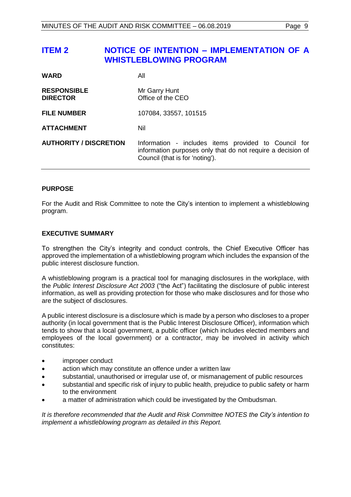## <span id="page-8-0"></span>**ITEM 2 NOTICE OF INTENTION – IMPLEMENTATION OF A WHISTLEBLOWING PROGRAM**

| <b>WARD</b>                           | All                                                                                                                                                    |
|---------------------------------------|--------------------------------------------------------------------------------------------------------------------------------------------------------|
| <b>RESPONSIBLE</b><br><b>DIRECTOR</b> | Mr Garry Hunt<br>Office of the CEO                                                                                                                     |
| <b>FILE NUMBER</b>                    | 107084, 33557, 101515                                                                                                                                  |
| <b>ATTACHMENT</b>                     | Nil                                                                                                                                                    |
| <b>AUTHORITY / DISCRETION</b>         | Information - includes items provided to Council for<br>information purposes only that do not require a decision of<br>Council (that is for 'noting'). |

### **PURPOSE**

For the Audit and Risk Committee to note the City's intention to implement a whistleblowing program.

### **EXECUTIVE SUMMARY**

To strengthen the City's integrity and conduct controls, the Chief Executive Officer has approved the implementation of a whistleblowing program which includes the expansion of the public interest disclosure function.

A whistleblowing program is a practical tool for managing disclosures in the workplace, with the *Public Interest Disclosure Act 2003* ("the Act") facilitating the disclosure of public interest information, as well as providing protection for those who make disclosures and for those who are the subject of disclosures.

A public interest disclosure is a disclosure which is made by a person who discloses to a proper authority (in local government that is the Public Interest Disclosure Officer), information which tends to show that a local government, a public officer (which includes elected members and employees of the local government) or a contractor, may be involved in activity which constitutes:

- improper conduct
- action which may constitute an offence under a written law
- substantial, unauthorised or irregular use of, or mismanagement of public resources
- substantial and specific risk of injury to public health, prejudice to public safety or harm to the environment
- a matter of administration which could be investigated by the Ombudsman.

*It is therefore recommended that the Audit and Risk Committee NOTES the City's intention to implement a whistleblowing program as detailed in this Report.*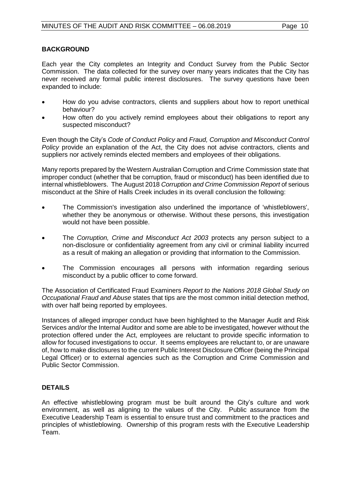### **BACKGROUND**

Each year the City completes an Integrity and Conduct Survey from the Public Sector Commission. The data collected for the survey over many years indicates that the City has never received any formal public interest disclosures. The survey questions have been expanded to include:

- How do you advise contractors, clients and suppliers about how to report unethical behaviour?
- How often do you actively remind employees about their obligations to report any suspected misconduct?

Even though the City's *Code of Conduct Policy* and *Fraud, Corruption and Misconduct Control Policy* provide an explanation of the Act, the City does not advise contractors, clients and suppliers nor actively reminds elected members and employees of their obligations.

Many reports prepared by the Western Australian Corruption and Crime Commission state that improper conduct (whether that be corruption, fraud or misconduct) has been identified due to internal whistleblowers. The August 2018 *Corruption and Crime Commission Report* of serious misconduct at the Shire of Halls Creek includes in its overall conclusion the following:

- The Commission's investigation also underlined the importance of 'whistleblowers', whether they be anonymous or otherwise. Without these persons, this investigation would not have been possible.
- The *Corruption, Crime and Misconduct Act 2003* protects any person subject to a non-disclosure or confidentiality agreement from any civil or criminal liability incurred as a result of making an allegation or providing that information to the Commission.
- The Commission encourages all persons with information regarding serious misconduct by a public officer to come forward.

The Association of Certificated Fraud Examiners *Report to the Nations 2018 Global Study on Occupational Fraud and Abuse* states that tips are the most common initial detection method, with over half being reported by employees.

Instances of alleged improper conduct have been highlighted to the Manager Audit and Risk Services and/or the Internal Auditor and some are able to be investigated, however without the protection offered under the Act, employees are reluctant to provide specific information to allow for focused investigations to occur. It seems employees are reluctant to, or are unaware of, how to make disclosures to the current Public Interest Disclosure Officer (being the Principal Legal Officer) or to external agencies such as the Corruption and Crime Commission and Public Sector Commission.

### **DETAILS**

An effective whistleblowing program must be built around the City's culture and work environment, as well as aligning to the values of the City. Public assurance from the Executive Leadership Team is essential to ensure trust and commitment to the practices and principles of whistleblowing. Ownership of this program rests with the Executive Leadership Team.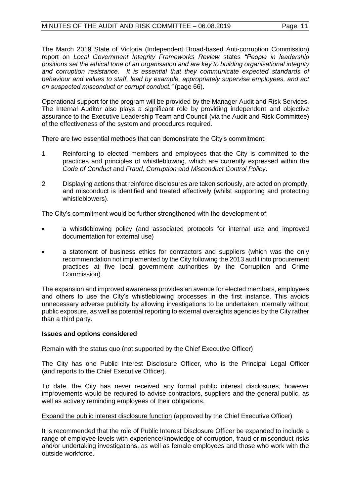The March 2019 State of Victoria (Independent Broad-based Anti-corruption Commission) report on *Local Government Integrity Frameworks Review* states *"People in leadership positions set the ethical tone of an organisation and are key to building organisational integrity and corruption resistance. It is essential that they communicate expected standards of behaviour and values to staff, lead by example, appropriately supervise employees, and act on suspected misconduct or corrupt conduct."* (page 66).

Operational support for the program will be provided by the Manager Audit and Risk Services. The Internal Auditor also plays a significant role by providing independent and objective assurance to the Executive Leadership Team and Council (via the Audit and Risk Committee) of the effectiveness of the system and procedures required.

There are two essential methods that can demonstrate the City's commitment:

- 1 Reinforcing to elected members and employees that the City is committed to the practices and principles of whistleblowing, which are currently expressed within the *Code of Conduct* and *Fraud, Corruption and Misconduct Control Policy*.
- 2 Displaying actions that reinforce disclosures are taken seriously, are acted on promptly, and misconduct is identified and treated effectively (whilst supporting and protecting whistleblowers).

The City's commitment would be further strengthened with the development of:

- a whistleblowing policy (and associated protocols for internal use and improved documentation for external use)
- a statement of business ethics for contractors and suppliers (which was the only recommendation not implemented by the City following the 2013 audit into procurement practices at five local government authorities by the Corruption and Crime Commission).

The expansion and improved awareness provides an avenue for elected members, employees and others to use the City's whistleblowing processes in the first instance. This avoids unnecessary adverse publicity by allowing investigations to be undertaken internally without public exposure, as well as potential reporting to external oversights agencies by the City rather than a third party.

### **Issues and options considered**

Remain with the status quo (not supported by the Chief Executive Officer)

The City has one Public Interest Disclosure Officer, who is the Principal Legal Officer (and reports to the Chief Executive Officer).

To date, the City has never received any formal public interest disclosures, however improvements would be required to advise contractors, suppliers and the general public, as well as actively reminding employees of their obligations.

### Expand the public interest disclosure function (approved by the Chief Executive Officer)

It is recommended that the role of Public Interest Disclosure Officer be expanded to include a range of employee levels with experience/knowledge of corruption, fraud or misconduct risks and/or undertaking investigations, as well as female employees and those who work with the outside workforce.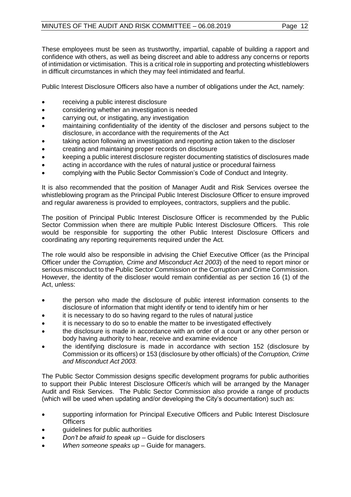These employees must be seen as trustworthy, impartial, capable of building a rapport and confidence with others, as well as being discreet and able to address any concerns or reports of intimidation or victimisation. This is a critical role in supporting and protecting whistleblowers in difficult circumstances in which they may feel intimidated and fearful.

Public Interest Disclosure Officers also have a number of obligations under the Act, namely:

- receiving a public interest disclosure
- considering whether an investigation is needed
- carrying out, or instigating, any investigation
- maintaining confidentiality of the identity of the discloser and persons subject to the disclosure, in accordance with the requirements of the Act
- taking action following an investigation and reporting action taken to the discloser
- creating and maintaining proper records on disclosure
- keeping a public interest disclosure register documenting statistics of disclosures made
- acting in accordance with the rules of natural justice or procedural fairness
- complying with the Public Sector Commission's [Code of Conduct and Integrity.](https://publicsector.wa.gov.au/document/pid-officers-code-conduct-and-integrity)

It is also recommended that the position of Manager Audit and Risk Services oversee the whistleblowing program as the Principal Public Interest Disclosure Officer to ensure improved and regular awareness is provided to employees, contractors, suppliers and the public.

The position of Principal Public Interest Disclosure Officer is recommended by the Public Sector Commission when there are multiple Public Interest Disclosure Officers. This role would be responsible for supporting the other Public Interest Disclosure Officers and coordinating any reporting requirements required under the Act*.* 

The role would also be responsible in advising the Chief Executive Officer (as the Principal Officer under the *Corruption, Crime and Misconduct Act 2003*) of the need to report minor or serious misconduct to the Public Sector Commission or the Corruption and Crime Commission. However, the identity of the discloser would remain confidential as per section 16 (1) of the Act, unless:

- the person who made the disclosure of public interest information consents to the disclosure of information that might identify or tend to identify him or her
- it is necessary to do so having regard to the rules of natural justice
- it is necessary to do so to enable the matter to be investigated effectively
- the disclosure is made in accordance with an order of a court or any other person or body having authority to hear, receive and examine evidence
- the identifying disclosure is made in accordance with section 152 (disclosure by Commission or its officers) or 153 (disclosure by other officials) of the *Corruption, Crime and Misconduct Act 2003.*

The Public Sector Commission designs specific development programs for public authorities to support their Public Interest Disclosure Officer/s which will be arranged by the Manager Audit and Risk Services. The Public Sector Commission also provide a range of products (which will be used when updating and/or developing the City's documentation) such as:

- supporting information for Principal Executive Officers and Public Interest Disclosure **Officers**
- guidelines for public authorities
- *Don't be afraid to speak up* Guide for disclosers
- *When someone speaks up* Guide for managers.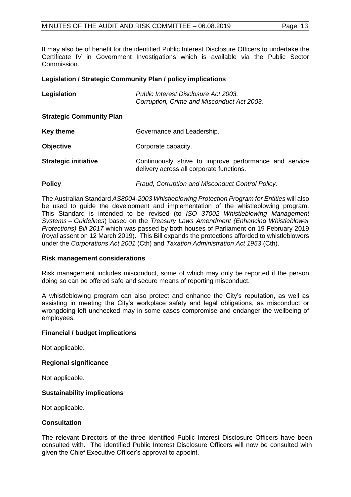It may also be of benefit for the identified Public Interest Disclosure Officers to undertake the Certificate IV in Government Investigations which is available via the Public Sector Commission.

### **Legislation / Strategic Community Plan / policy implications**

| Legislation                     | Public Interest Disclosure Act 2003.<br>Corruption, Crime and Misconduct Act 2003.                 |
|---------------------------------|----------------------------------------------------------------------------------------------------|
| <b>Strategic Community Plan</b> |                                                                                                    |
| Key theme                       | Governance and Leadership.                                                                         |
| <b>Objective</b>                | Corporate capacity.                                                                                |
| <b>Strategic initiative</b>     | Continuously strive to improve performance and service<br>delivery across all corporate functions. |
| <b>Policy</b>                   | Fraud, Corruption and Misconduct Control Policy.                                                   |

The Australian Standard *AS8004-2003 Whistleblowing Protection Program for Entities* will also be used to guide the development and implementation of the whistleblowing program. This Standard is intended to be revised (to *ISO 37002 Whistleblowing Management Systems – Guidelines*) based on the *Treasury Laws Amendment (Enhancing Whistleblower Protections) Bill 2017* which was passed by both houses of Parliament on 19 February 2019 (royal assent on 12 March 2019). This Bill expands the protections afforded to whistleblowers under the *Corporations Act 2001* (Cth) and *Taxation Administration Act 1953* (Cth).

### **Risk management considerations**

Risk management includes misconduct, some of which may only be reported if the person doing so can be offered safe and secure means of reporting misconduct.

A whistleblowing program can also protect and enhance the City's reputation, as well as assisting in meeting the City's workplace safety and legal obligations, as misconduct or wrongdoing left unchecked may in some cases compromise and endanger the wellbeing of employees.

### **Financial / budget implications**

Not applicable.

### **Regional significance**

Not applicable.

### **Sustainability implications**

Not applicable.

### **Consultation**

The relevant Directors of the three identified Public Interest Disclosure Officers have been consulted with. The identified Public Interest Disclosure Officers will now be consulted with given the Chief Executive Officer's approval to appoint.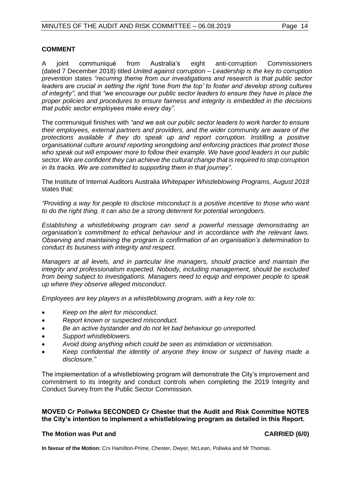### **COMMENT**

A joint communiqué from Australia's eight anti-corruption Commissioners (dated 7 December 2018) titled *United against corruption – Leadership is the key to corruption prevention* states *"recurring theme from our investigations and research is that public sector leaders are crucial in setting the right 'tone from the top' to foster and develop strong cultures of integrity"*, and that *"we encourage our public sector leaders to ensure they have in place the proper policies and procedures to ensure fairness and integrity is embedded in the decisions that public sector employees make every day"*.

The communiqué finishes with *"and we ask our public sector leaders to work harder to ensure their employees, external partners and providers, and the wider community are aware of the protections available if they do speak up and report corruption. Instilling a positive organisational culture around reporting wrongdoing and enforcing practices that protect those who speak out will empower more to follow their example. We have good leaders in our public sector. We are confident they can achieve the cultural change that is required to stop corruption in its tracks. We are committed to supporting them in that journey"*.

The Institute of Internal Auditors Australia *Whitepaper Whistleblowing Programs, August 2018* states that:

*"Providing a way for people to disclose misconduct is a positive incentive to those who want to do the right thing. It can also be a strong deterrent for potential wrongdoers.* 

*Establishing a whistleblowing program can send a powerful message demonstrating an organisation's commitment to ethical behaviour and in accordance with the relevant laws. Observing and maintaining the program is confirmation of an organisation's determination to conduct its business with integrity and respect.*

*Managers at all levels, and in particular line managers, should practice and maintain the integrity and professionalism expected. Nobody, including management, should be excluded from being subject to investigations. Managers need to equip and empower people to speak up where they observe alleged misconduct.*

*Employees are key players in a whistleblowing program, with a key role to:* 

- *Keep on the alert for misconduct.*
- *Report known or suspected misconduct.*
- *Be an active bystander and do not let bad behaviour go unreported.*
- *Support whistleblowers.*
- *Avoid doing anything which could be seen as intimidation or victimisation.*
- *Keep confidential the identity of anyone they know or suspect of having made a disclosure."*

The implementation of a whistleblowing program will demonstrate the City's improvement and commitment to its integrity and conduct controls when completing the 2019 Integrity and Conduct Survey from the Public Sector Commission.

### **MOVED Cr Poliwka SECONDED Cr Chester that the Audit and Risk Committee NOTES the City's intention to implement a whistleblowing program as detailed in this Report.**

### <span id="page-13-0"></span>**The Motion was Put and CARRIED (6/0)**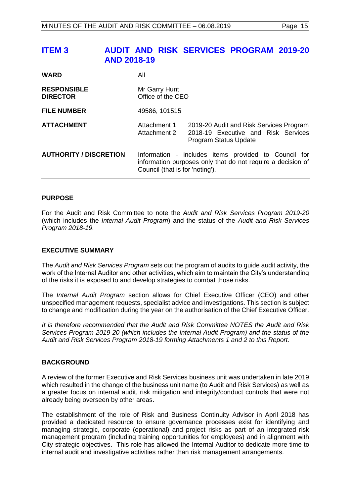## **ITEM 3 AUDIT AND RISK SERVICES PROGRAM 2019-20 AND 2018-19**

| <b>WARD</b>                           | All                                                                                                                                                    |                                                                                                         |
|---------------------------------------|--------------------------------------------------------------------------------------------------------------------------------------------------------|---------------------------------------------------------------------------------------------------------|
| <b>RESPONSIBLE</b><br><b>DIRECTOR</b> | Mr Garry Hunt<br>Office of the CEO                                                                                                                     |                                                                                                         |
| <b>FILE NUMBER</b>                    | 49586, 101515                                                                                                                                          |                                                                                                         |
| <b>ATTACHMENT</b>                     | Attachment 1<br>Attachment 2                                                                                                                           | 2019-20 Audit and Risk Services Program<br>2018-19 Executive and Risk Services<br>Program Status Update |
| <b>AUTHORITY / DISCRETION</b>         | Information - includes items provided to Council for<br>information purposes only that do not require a decision of<br>Council (that is for 'noting'). |                                                                                                         |

### **PURPOSE**

For the Audit and Risk Committee to note the *Audit and Risk Services Program 2019-20*  (which includes the *Internal Audit Program*) and the status of the *Audit and Risk Services Program 2018-19.*

### **EXECUTIVE SUMMARY**

The *Audit and Risk Services Program* sets out the program of audits to guide audit activity, the work of the Internal Auditor and other activities, which aim to maintain the City's understanding of the risks it is exposed to and develop strategies to combat those risks.

The *Internal Audit Program* section allows for Chief Executive Officer (CEO) and other unspecified management requests, specialist advice and investigations. This section is subject to change and modification during the year on the authorisation of the Chief Executive Officer.

*It is therefore recommended that the Audit and Risk Committee NOTES the Audit and Risk Services Program 2019-20 (which includes the Internal Audit Program) and the status of the Audit and Risk Services Program 2018-19 forming Attachments 1 and 2 to this Report.*

### **BACKGROUND**

A review of the former Executive and Risk Services business unit was undertaken in late 2019 which resulted in the change of the business unit name (to Audit and Risk Services) as well as a greater focus on internal audit, risk mitigation and integrity/conduct controls that were not already being overseen by other areas.

The establishment of the role of Risk and Business Continuity Advisor in April 2018 has provided a dedicated resource to ensure governance processes exist for identifying and managing strategic, corporate (operational) and project risks as part of an integrated risk management program (including training opportunities for employees) and in alignment with City strategic objectives. This role has allowed the Internal Auditor to dedicate more time to internal audit and investigative activities rather than risk management arrangements.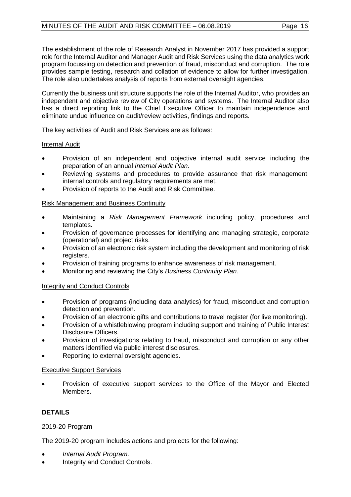The establishment of the role of Research Analyst in November 2017 has provided a support role for the Internal Auditor and Manager Audit and Risk Services using the data analytics work program focussing on detection and prevention of fraud, misconduct and corruption. The role provides sample testing, research and collation of evidence to allow for further investigation. The role also undertakes analysis of reports from external oversight agencies.

Currently the business unit structure supports the role of the Internal Auditor, who provides an independent and objective review of City operations and systems. The Internal Auditor also has a direct reporting link to the Chief Executive Officer to maintain independence and eliminate undue influence on audit/review activities, findings and reports.

The key activities of Audit and Risk Services are as follows:

### Internal Audit

- Provision of an independent and objective internal audit service including the preparation of an annual *Internal Audit Plan*.
- Reviewing systems and procedures to provide assurance that risk management, internal controls and regulatory requirements are met.
- Provision of reports to the Audit and Risk Committee.

### Risk Management and Business Continuity

- Maintaining a *Risk Management Framework* including policy, procedures and templates.
- Provision of governance processes for identifying and managing strategic, corporate (operational) and project risks.
- Provision of an electronic risk system including the development and monitoring of risk registers.
- Provision of training programs to enhance awareness of risk management.
- Monitoring and reviewing the City's *Business Continuity Plan*.

### Integrity and Conduct Controls

- Provision of programs (including data analytics) for fraud, misconduct and corruption detection and prevention.
- Provision of an electronic gifts and contributions to travel register (for live monitoring).
- Provision of a whistleblowing program including support and training of Public Interest Disclosure Officers.
- Provision of investigations relating to fraud, misconduct and corruption or any other matters identified via public interest disclosures.
- Reporting to external oversight agencies.

### Executive Support Services

Provision of executive support services to the Office of the Mayor and Elected Members.

### **DETAILS**

### 2019-20 Program

The 2019-20 program includes actions and projects for the following:

- *Internal Audit Program*.
- Integrity and Conduct Controls.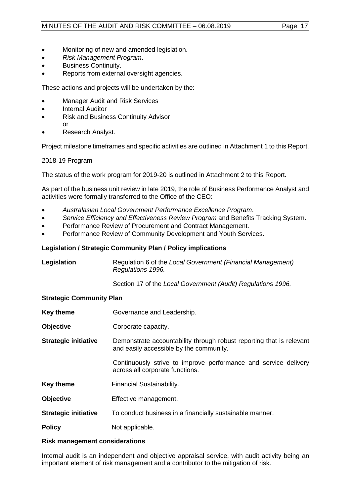- Monitoring of new and amended legislation.
- *Risk Management Program*.
- Business Continuity.
- Reports from external oversight agencies.

These actions and projects will be undertaken by the:

- Manager Audit and Risk Services
- **Internal Auditor**
- Risk and Business Continuity Advisor or
- Research Analyst.

Project milestone timeframes and specific activities are outlined in Attachment 1 to this Report.

### 2018-19 Program

The status of the work program for 2019-20 is outlined in Attachment 2 to this Report.

As part of the business unit review in late 2019, the role of Business Performance Analyst and activities were formally transferred to the Office of the CEO:

- *Australasian Local Government Performance Excellence Program*.
- *Service Efficiency and Effectiveness Review Program* and Benefits Tracking System.
- Performance Review of Procurement and Contract Management.
- Performance Review of Community Development and Youth Services.

### **Legislation / Strategic Community Plan / Policy implications**

| Legislation                     | Regulation 6 of the Local Government (Financial Management)<br>Regulations 1996.                                |
|---------------------------------|-----------------------------------------------------------------------------------------------------------------|
|                                 | Section 17 of the Local Government (Audit) Regulations 1996.                                                    |
| <b>Strategic Community Plan</b> |                                                                                                                 |
| <b>Key theme</b>                | Governance and Leadership.                                                                                      |
| <b>Objective</b>                | Corporate capacity.                                                                                             |
| <b>Strategic initiative</b>     | Demonstrate accountability through robust reporting that is relevant<br>and easily accessible by the community. |
|                                 | Continuously strive to improve performance and service delivery<br>across all corporate functions.              |
| <b>Key theme</b>                | Financial Sustainability.                                                                                       |
| <b>Objective</b>                | Effective management.                                                                                           |
| <b>Strategic initiative</b>     | To conduct business in a financially sustainable manner.                                                        |

**Policy** Not applicable.

### **Risk management considerations**

Internal audit is an independent and objective appraisal service, with audit activity being an important element of risk management and a contributor to the mitigation of risk.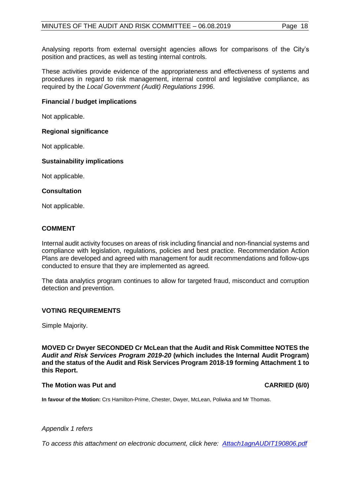Analysing reports from external oversight agencies allows for comparisons of the City's position and practices, as well as testing internal controls.

These activities provide evidence of the appropriateness and effectiveness of systems and procedures in regard to risk management, internal control and legislative compliance, as required by the *Local Government (Audit) Regulations 1996*.

### **Financial / budget implications**

Not applicable.

### **Regional significance**

Not applicable.

### **Sustainability implications**

Not applicable.

### **Consultation**

Not applicable.

### **COMMENT**

Internal audit activity focuses on areas of risk including financial and non-financial systems and compliance with legislation, regulations, policies and best practice. Recommendation Action Plans are developed and agreed with management for audit recommendations and follow-ups conducted to ensure that they are implemented as agreed.

The data analytics program continues to allow for targeted fraud, misconduct and corruption detection and prevention.

### **VOTING REQUIREMENTS**

Simple Majority.

**MOVED Cr Dwyer SECONDED Cr McLean that the Audit and Risk Committee NOTES the**  *Audit and Risk Services Program 2019-20* **(which includes the Internal Audit Program) and the status of the Audit and Risk Services Program 2018-19 forming Attachment 1 to this Report.**

### **The Motion was Put and CARRIED (6/0)**

**In favour of the Motion:** Crs Hamilton-Prime, Chester, Dwyer, McLean, Poliwka and Mr Thomas.

### *Appendix 1 refers*

*To access this attachment on electronic document, click here[: Attach1agnAUDIT190806.pdf](http://www.joondalup.wa.gov.au/files/committees/AURI/2019/Attach1agnAUDIT190806.pdf)*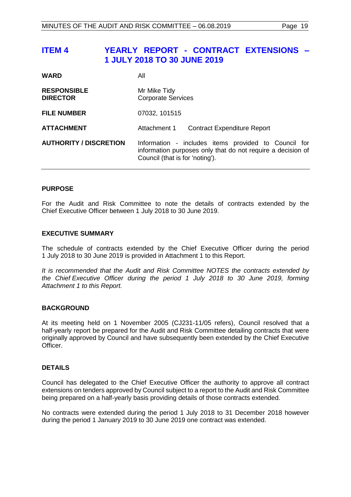## <span id="page-18-0"></span>**ITEM 4 YEARLY REPORT - CONTRACT EXTENSIONS – 1 JULY 2018 TO 30 JUNE 2019**

| <b>WARD</b>                           | Αll                                                                                                                                                    |
|---------------------------------------|--------------------------------------------------------------------------------------------------------------------------------------------------------|
| <b>RESPONSIBLE</b><br><b>DIRECTOR</b> | Mr Mike Tidy<br><b>Corporate Services</b>                                                                                                              |
| <b>FILE NUMBER</b>                    | 07032, 101515                                                                                                                                          |
| <b>ATTACHMENT</b>                     | Attachment 1<br><b>Contract Expenditure Report</b>                                                                                                     |
| <b>AUTHORITY / DISCRETION</b>         | Information - includes items provided to Council for<br>information purposes only that do not require a decision of<br>Council (that is for 'noting'). |

### **PURPOSE**

For the Audit and Risk Committee to note the details of contracts extended by the Chief Executive Officer between 1 July 2018 to 30 June 2019.

### **EXECUTIVE SUMMARY**

The schedule of contracts extended by the Chief Executive Officer during the period 1 July 2018 to 30 June 2019 is provided in Attachment 1 to this Report.

*It is recommended that the Audit and Risk Committee NOTES the contracts extended by the Chief Executive Officer during the period 1 July 2018 to 30 June 2019, forming Attachment 1 to this Report.*

### **BACKGROUND**

At its meeting held on 1 November 2005 (CJ231-11/05 refers), Council resolved that a half-yearly report be prepared for the Audit and Risk Committee detailing contracts that were originally approved by Council and have subsequently been extended by the Chief Executive Officer.

### **DETAILS**

Council has delegated to the Chief Executive Officer the authority to approve all contract extensions on tenders approved by Council subject to a report to the Audit and Risk Committee being prepared on a half-yearly basis providing details of those contracts extended.

No contracts were extended during the period 1 July 2018 to 31 December 2018 however during the period 1 January 2019 to 30 June 2019 one contract was extended.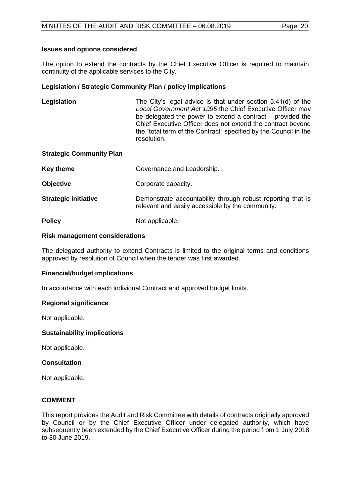### **Issues and options considered**

The option to extend the contracts by the Chief Executive Officer is required to maintain continuity of the applicable services to the City.

### **Legislation / Strategic Community Plan / policy implications**

**Legislation** The City's legal advice is that under section 5.41(d) of the *Local Government Act 1995* the Chief Executive Officer may be delegated the power to extend a contract – provided the Chief Executive Officer does not extend the contract beyond the "total term of the Contract" specified by the Council in the resolution.

### **Strategic Community Plan**

| Key theme                   | Governance and Leadership.                                                                                      |
|-----------------------------|-----------------------------------------------------------------------------------------------------------------|
| <b>Objective</b>            | Corporate capacity.                                                                                             |
| <b>Strategic initiative</b> | Demonstrate accountability through robust reporting that is<br>relevant and easily accessible by the community. |
| <b>Policy</b>               | Not applicable.                                                                                                 |

### **Risk management considerations**

The delegated authority to extend Contracts is limited to the original terms and conditions approved by resolution of Council when the tender was first awarded.

### **Financial/budget implications**

In accordance with each individual Contract and approved budget limits.

### **Regional significance**

Not applicable.

### **Sustainability implications**

Not applicable.

### **Consultation**

Not applicable.

### **COMMENT**

This report provides the Audit and Risk Committee with details of contracts originally approved by Council or by the Chief Executive Officer under delegated authority, which have subsequently been extended by the Chief Executive Officer during the period from 1 July 2018 to 30 June 2019.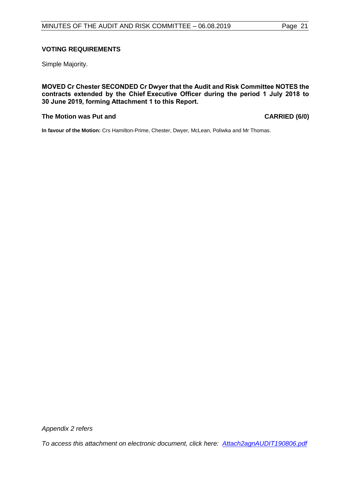### **VOTING REQUIREMENTS**

Simple Majority.

**MOVED Cr Chester SECONDED Cr Dwyer that the Audit and Risk Committee NOTES the contracts extended by the Chief Executive Officer during the period 1 July 2018 to 30 June 2019, forming Attachment 1 to this Report.**

### **The Motion was Put and CARRIED (6/0)**

**In favour of the Motion:** Crs Hamilton-Prime, Chester, Dwyer, McLean, Poliwka and Mr Thomas.

*Appendix 2 refers*

*To access this attachment on electronic document, click here: [Attach2agnAUDIT190806.pdf](http://www.joondalup.wa.gov.au/files/committees/AURI/2019/Attach2agnAUDIT190806.pdf)*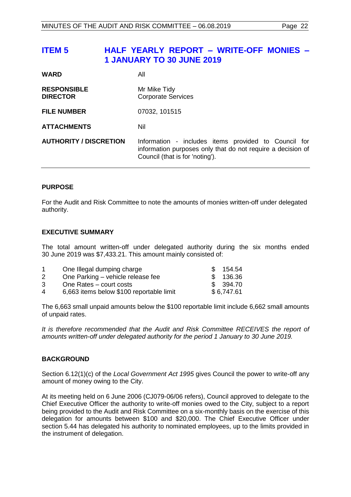## <span id="page-21-0"></span>**ITEM 5 HALF YEARLY REPORT – WRITE-OFF MONIES – 1 JANUARY TO 30 JUNE 2019**

| <b>WARD</b>                           | Αll                                                                                                                                                    |
|---------------------------------------|--------------------------------------------------------------------------------------------------------------------------------------------------------|
| <b>RESPONSIBLE</b><br><b>DIRECTOR</b> | Mr Mike Tidy<br><b>Corporate Services</b>                                                                                                              |
| <b>FILE NUMBER</b>                    | 07032, 101515                                                                                                                                          |
| <b>ATTACHMENTS</b>                    | Nil                                                                                                                                                    |
| <b>AUTHORITY / DISCRETION</b>         | Information - includes items provided to Council for<br>information purposes only that do not require a decision of<br>Council (that is for 'noting'). |

### **PURPOSE**

For the Audit and Risk Committee to note the amounts of monies written-off under delegated authority.

### **EXECUTIVE SUMMARY**

The total amount written-off under delegated authority during the six months ended 30 June 2019 was \$7,433.21. This amount mainly consisted of:

|   | One Illegal dumping charge               | 154.54        |
|---|------------------------------------------|---------------|
|   | One Parking - vehicle release fee        | 136.36<br>SS. |
| 3 | One Rates – court costs                  | \$ 394.70     |
| 4 | 6,663 items below \$100 reportable limit | \$6,747.61    |
|   |                                          |               |

The 6,663 small unpaid amounts below the \$100 reportable limit include 6,662 small amounts of unpaid rates.

*It is therefore recommended that the Audit and Risk Committee RECEIVES the report of amounts written-off under delegated authority for the period 1 January to 30 June 2019.*

### **BACKGROUND**

Section 6.12(1)(c) of the *Local Government Act 1995* gives Council the power to write-off any amount of money owing to the City.

At its meeting held on 6 June 2006 (CJ079-06/06 refers), Council approved to delegate to the Chief Executive Officer the authority to write-off monies owed to the City, subject to a report being provided to the Audit and Risk Committee on a six-monthly basis on the exercise of this delegation for amounts between \$100 and \$20,000. The Chief Executive Officer under section 5.44 has delegated his authority to nominated employees, up to the limits provided in the instrument of delegation.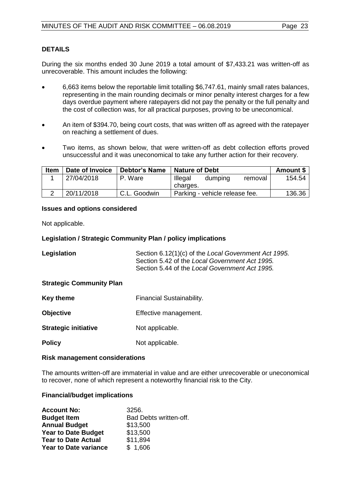### **DETAILS**

During the six months ended 30 June 2019 a total amount of \$7,433.21 was written-off as unrecoverable. This amount includes the following:

- 6,663 items below the reportable limit totalling \$6,747.61, mainly small rates balances, representing in the main rounding decimals or minor penalty interest charges for a few days overdue payment where ratepayers did not pay the penalty or the full penalty and the cost of collection was, for all practical purposes, proving to be uneconomical.
- An item of \$394.70, being court costs, that was written off as agreed with the ratepayer on reaching a settlement of dues.
- Two items, as shown below, that were written-off as debt collection efforts proved unsuccessful and it was uneconomical to take any further action for their recovery.

| <b>Item</b> | Date of Invoice | <b>Debtor's Name</b> | <b>Nature of Debt</b>                     | Amount \$ |
|-------------|-----------------|----------------------|-------------------------------------------|-----------|
|             | 27/04/2018      | P. Ware              | Illegal<br>removal<br>dumping<br>charges. | 154.54    |
|             | 20/11/2018      | C.L. Goodwin         | Parking - vehicle release fee.            | 136.36    |

### **Issues and options considered**

Not applicable.

### **Legislation / Strategic Community Plan / policy implications**

| Legislation | Section 6.12(1)(c) of the Local Government Act 1995. |
|-------------|------------------------------------------------------|
|             | Section 5.42 of the Local Government Act 1995.       |
|             | Section 5.44 of the Local Government Act 1995.       |

### **Strategic Community Plan**

- **Key theme** Financial Sustainability.
- **Objective** Effective management.
- **Strategic initiative** Not applicable.
- **Policy** Not applicable.

### **Risk management considerations**

The amounts written-off are immaterial in value and are either unrecoverable or uneconomical to recover, none of which represent a noteworthy financial risk to the City.

### **Financial/budget implications**

| <b>Account No:</b>           | 3256.                  |
|------------------------------|------------------------|
| <b>Budget Item</b>           | Bad Debts written-off. |
| <b>Annual Budget</b>         | \$13,500               |
| <b>Year to Date Budget</b>   | \$13,500               |
| <b>Tear to Date Actual</b>   | \$11,894               |
| <b>Year to Date variance</b> | \$1,606                |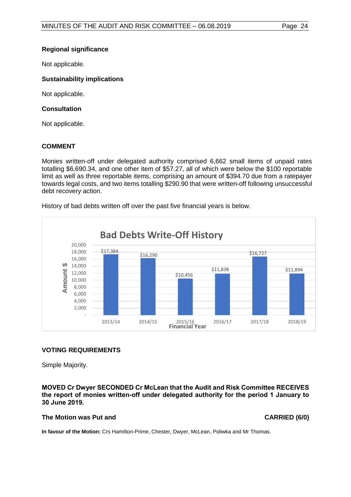### **Regional significance**

Not applicable.

### **Sustainability implications**

Not applicable.

### **Consultation**

Not applicable.

### **COMMENT**

Monies written-off under delegated authority comprised 6,662 small items of unpaid rates totalling \$6,690.34, and one other item of \$57.27, all of which were below the \$100 reportable limit as well as three reportable items, comprising an amount of \$394.70 due from a ratepayer towards legal costs, and two items totalling \$290.90 that were written-off following unsuccessful debt recovery action.

History of bad debts written off over the past five financial years is below.



### **VOTING REQUIREMENTS**

Simple Majority.

### **MOVED Cr Dwyer SECONDED Cr McLean that the Audit and Risk Committee RECEIVES the report of monies written-off under delegated authority for the period 1 January to 30 June 2019.**

### **The Motion was Put and CARRIED (6/0)**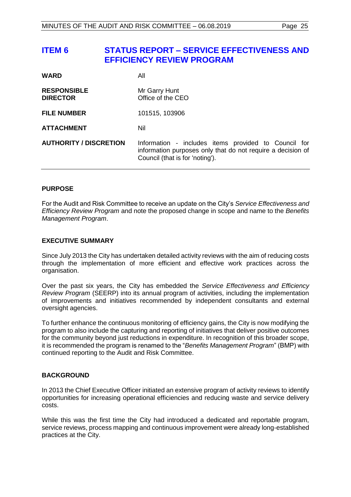## <span id="page-24-0"></span>**ITEM 6 STATUS REPORT – SERVICE EFFECTIVENESS AND EFFICIENCY REVIEW PROGRAM**

| <b>WARD</b>                           | All                                                                                                                                                    |
|---------------------------------------|--------------------------------------------------------------------------------------------------------------------------------------------------------|
| <b>RESPONSIBLE</b><br><b>DIRECTOR</b> | Mr Garry Hunt<br>Office of the CEO                                                                                                                     |
| <b>FILE NUMBER</b>                    | 101515, 103906                                                                                                                                         |
| <b>ATTACHMENT</b>                     | Nil                                                                                                                                                    |
| <b>AUTHORITY / DISCRETION</b>         | Information - includes items provided to Council for<br>information purposes only that do not require a decision of<br>Council (that is for 'noting'). |

### **PURPOSE**

For the Audit and Risk Committee to receive an update on the City's *Service Effectiveness and Efficiency Review Program* and note the proposed change in scope and name to the *Benefits Management Program*.

### **EXECUTIVE SUMMARY**

Since July 2013 the City has undertaken detailed activity reviews with the aim of reducing costs through the implementation of more efficient and effective work practices across the organisation.

Over the past six years, the City has embedded the *Service Effectiveness and Efficiency Review Program* (SEERP) into its annual program of activities, including the implementation of improvements and initiatives recommended by independent consultants and external oversight agencies.

To further enhance the continuous monitoring of efficiency gains, the City is now modifying the program to also include the capturing and reporting of initiatives that deliver positive outcomes for the community beyond just reductions in expenditure. In recognition of this broader scope, it is recommended the program is renamed to the "*Benefits Management Program*" (BMP) with continued reporting to the Audit and Risk Committee.

### **BACKGROUND**

In 2013 the Chief Executive Officer initiated an extensive program of activity reviews to identify opportunities for increasing operational efficiencies and reducing waste and service delivery costs.

While this was the first time the City had introduced a dedicated and reportable program, service reviews, process mapping and continuous improvement were already long-established practices at the City.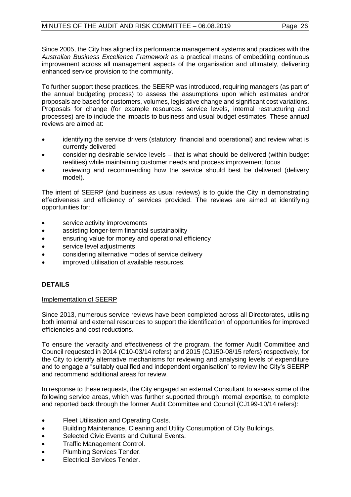Since 2005, the City has aligned its performance management systems and practices with the *Australian Business Excellence Framework* as a practical means of embedding continuous improvement across all management aspects of the organisation and ultimately, delivering enhanced service provision to the community.

To further support these practices, the SEERP was introduced, requiring managers (as part of the annual budgeting process) to assess the assumptions upon which estimates and/or proposals are based for customers, volumes, legislative change and significant cost variations. Proposals for change (for example resources, service levels, internal restructuring and processes) are to include the impacts to business and usual budget estimates. These annual reviews are aimed at:

- identifying the service drivers (statutory, financial and operational) and review what is currently delivered
- considering desirable service levels that is what should be delivered (within budget realities) while maintaining customer needs and process improvement focus
- reviewing and recommending how the service should best be delivered (delivery model).

The intent of SEERP (and business as usual reviews) is to guide the City in demonstrating effectiveness and efficiency of services provided. The reviews are aimed at identifying opportunities for:

- service activity improvements
- assisting longer-term financial sustainability
- ensuring value for money and operational efficiency
- service level adjustments
- considering alternative modes of service delivery
- improved utilisation of available resources.

### **DETAILS**

### Implementation of SEERP

Since 2013, numerous service reviews have been completed across all Directorates, utilising both internal and external resources to support the identification of opportunities for improved efficiencies and cost reductions.

To ensure the veracity and effectiveness of the program, the former Audit Committee and Council requested in 2014 (C10-03/14 refers) and 2015 (CJ150-08/15 refers) respectively, for the City to identify alternative mechanisms for reviewing and analysing levels of expenditure and to engage a "suitably qualified and independent organisation" to review the City's SEERP and recommend additional areas for review.

In response to these requests, the City engaged an external Consultant to assess some of the following service areas, which was further supported through internal expertise, to complete and reported back through the former Audit Committee and Council (CJ199-10/14 refers):

- Fleet Utilisation and Operating Costs.
- Building Maintenance, Cleaning and Utility Consumption of City Buildings.
- Selected Civic Events and Cultural Events.
- Traffic Management Control.
- Plumbing Services Tender.
- Electrical Services Tender.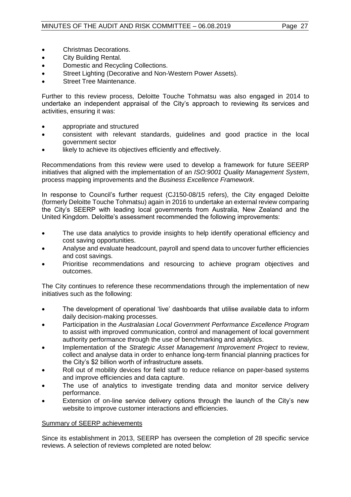- Christmas Decorations.
- City Building Rental.
- Domestic and Recycling Collections.
- Street Lighting (Decorative and Non-Western Power Assets).
- Street Tree Maintenance.

Further to this review process, Deloitte Touche Tohmatsu was also engaged in 2014 to undertake an independent appraisal of the City's approach to reviewing its services and activities, ensuring it was:

- appropriate and structured
- consistent with relevant standards, guidelines and good practice in the local government sector
- likely to achieve its objectives efficiently and effectively.

Recommendations from this review were used to develop a framework for future SEERP initiatives that aligned with the implementation of an *ISO:9001 Quality Management System*, process mapping improvements and the *Business Excellence Framework*.

In response to Council's further request (CJ150-08/15 refers), the City engaged Deloitte (formerly Deloitte Touche Tohmatsu) again in 2016 to undertake an external review comparing the City's SEERP with leading local governments from Australia, New Zealand and the United Kingdom. Deloitte's assessment recommended the following improvements:

- The use data analytics to provide insights to help identify operational efficiency and cost saving opportunities.
- Analyse and evaluate headcount, payroll and spend data to uncover further efficiencies and cost savings.
- Prioritise recommendations and resourcing to achieve program objectives and outcomes.

The City continues to reference these recommendations through the implementation of new initiatives such as the following:

- The development of operational 'live' dashboards that utilise available data to inform daily decision-making processes.
- Participation in the *Australasian Local Government Performance Excellence Program* to assist with improved communication, control and management of local government authority performance through the use of benchmarking and analytics.
- Implementation of the *Strategic Asset Management Improvement Project* to review, collect and analyse data in order to enhance long-term financial planning practices for the City's \$2 billion worth of infrastructure assets.
- Roll out of mobility devices for field staff to reduce reliance on paper-based systems and improve efficiencies and data capture.
- The use of analytics to investigate trending data and monitor service delivery performance.
- Extension of on-line service delivery options through the launch of the City's new website to improve customer interactions and efficiencies.

### Summary of SEERP achievements

Since its establishment in 2013, SEERP has overseen the completion of 28 specific service reviews. A selection of reviews completed are noted below: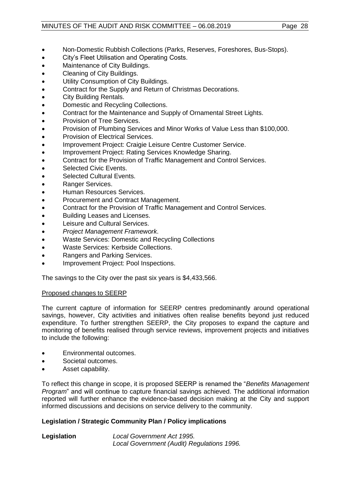### MINUTES OF THE AUDIT AND RISK COMMITTEE - 06.08.2019 Page 28

- Non-Domestic Rubbish Collections (Parks, Reserves, Foreshores, Bus-Stops).
- City's Fleet Utilisation and Operating Costs.
- Maintenance of City Buildings.
- Cleaning of City Buildings.
- Utility Consumption of City Buildings.
- Contract for the Supply and Return of Christmas Decorations.
- City Building Rentals.
- Domestic and Recycling Collections.
- Contract for the Maintenance and Supply of Ornamental Street Lights.
- Provision of Tree Services.
- Provision of Plumbing Services and Minor Works of Value Less than \$100,000.
- Provision of Electrical Services.
- Improvement Project: Craigie Leisure Centre Customer Service.
- Improvement Project: Rating Services Knowledge Sharing.
- Contract for the Provision of Traffic Management and Control Services.
- Selected Civic Events.
- Selected Cultural Events.
- Ranger Services.
- Human Resources Services.
- Procurement and Contract Management.
- Contract for the Provision of Traffic Management and Control Services.
- Building Leases and Licenses.
- Leisure and Cultural Services.
- *Project Management Framework*.
- Waste Services: Domestic and Recycling Collections
- Waste Services: Kerbside Collections.
- Rangers and Parking Services.
- Improvement Project: Pool Inspections.

The savings to the City over the past six years is \$4,433,566.

### Proposed changes to SEERP

The current capture of information for SEERP centres predominantly around operational savings, however, City activities and initiatives often realise benefits beyond just reduced expenditure. To further strengthen SEERP, the City proposes to expand the capture and monitoring of benefits realised through service reviews, improvement projects and initiatives to include the following:

- Environmental outcomes.
- Societal outcomes.
- Asset capability.

To reflect this change in scope, it is proposed SEERP is renamed the "*Benefits Management Program*" and will continue to capture financial savings achieved. The additional information reported will further enhance the evidence-based decision making at the City and support informed discussions and decisions on service delivery to the community.

### **Legislation / Strategic Community Plan / Policy implications**

**Legislation** *Local Government Act 1995. Local Government (Audit) Regulations 1996.*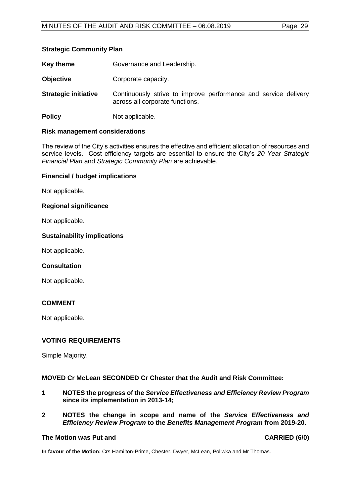### **Strategic Community Plan**

| Key theme                   | Governance and Leadership.                                                                         |
|-----------------------------|----------------------------------------------------------------------------------------------------|
| <b>Objective</b>            | Corporate capacity.                                                                                |
| <b>Strategic initiative</b> | Continuously strive to improve performance and service delivery<br>across all corporate functions. |
| <b>Policy</b>               | Not applicable.                                                                                    |

### **Risk management considerations**

The review of the City's activities ensures the effective and efficient allocation of resources and service levels. Cost efficiency targets are essential to ensure the City's *20 Year Strategic Financial Plan* and *Strategic Community Plan* are achievable.

### **Financial / budget implications**

Not applicable.

### **Regional significance**

Not applicable.

### **Sustainability implications**

Not applicable.

### **Consultation**

Not applicable.

### **COMMENT**

Not applicable.

### **VOTING REQUIREMENTS**

Simple Majority.

### **MOVED Cr McLean SECONDED Cr Chester that the Audit and Risk Committee:**

- **1 NOTES the progress of the** *Service Effectiveness and Efficiency Review Program* **since its implementation in 2013-14;**
- **2 NOTES the change in scope and name of the** *Service Effectiveness and Efficiency Review Program* **to the** *Benefits Management Program* **from 2019-20.**

### <span id="page-28-0"></span>**The Motion was Put and CARRIED (6/0)**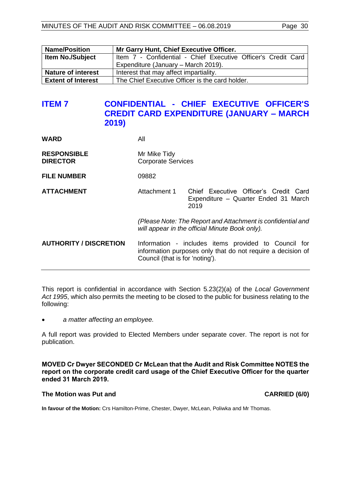| <b>Name/Position</b>                                                         | Mr Garry Hunt, Chief Executive Officer.                       |  |  |  |
|------------------------------------------------------------------------------|---------------------------------------------------------------|--|--|--|
| <b>Item No./Subject</b>                                                      | Item 7 - Confidential - Chief Executive Officer's Credit Card |  |  |  |
|                                                                              | Expenditure (January – March 2019).                           |  |  |  |
| <b>Nature of interest</b><br>Interest that may affect impartiality.          |                                                               |  |  |  |
| <b>Extent of Interest</b><br>The Chief Executive Officer is the card holder. |                                                               |  |  |  |

### **ITEM 7 CONFIDENTIAL - CHIEF EXECUTIVE OFFICER'S CREDIT CARD EXPENDITURE (JANUARY – MARCH 2019)**

| <b>WARD</b>                           | All                                                                                                                                                    |                                                                                       |
|---------------------------------------|--------------------------------------------------------------------------------------------------------------------------------------------------------|---------------------------------------------------------------------------------------|
| <b>RESPONSIBLE</b><br><b>DIRECTOR</b> | Mr Mike Tidy<br><b>Corporate Services</b>                                                                                                              |                                                                                       |
| <b>FILE NUMBER</b>                    | 09882                                                                                                                                                  |                                                                                       |
| <b>ATTACHMENT</b>                     | Attachment 1                                                                                                                                           | Chief Executive Officer's Credit Card<br>Expenditure - Quarter Ended 31 March<br>2019 |
|                                       | (Please Note: The Report and Attachment is confidential and<br>will appear in the official Minute Book only).                                          |                                                                                       |
| <b>AUTHORITY / DISCRETION</b>         | Information - includes items provided to Council for<br>information purposes only that do not require a decision of<br>Council (that is for 'noting'). |                                                                                       |

This report is confidential in accordance with Section 5.23(2)(a) of the *Local Government Act 1995*, which also permits the meeting to be closed to the public for business relating to the following:

• *a matter affecting an employee.*

A full report was provided to Elected Members under separate cover. The report is not for publication.

**MOVED Cr Dwyer SECONDED Cr McLean that the Audit and Risk Committee NOTES the report on the corporate credit card usage of the Chief Executive Officer for the quarter ended 31 March 2019.**

### **The Motion was Put and CARRIED (6/0)**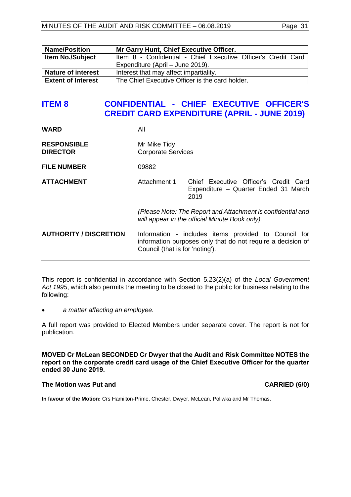<span id="page-30-0"></span>

| <b>Name/Position</b>      | Mr Garry Hunt, Chief Executive Officer.                       |  |  |
|---------------------------|---------------------------------------------------------------|--|--|
| <b>Item No./Subject</b>   | Item 8 - Confidential - Chief Executive Officer's Credit Card |  |  |
|                           | Expenditure (April – June 2019).                              |  |  |
| <b>Nature of interest</b> | Interest that may affect impartiality.                        |  |  |
| <b>Extent of Interest</b> | The Chief Executive Officer is the card holder.               |  |  |

### **ITEM 8 CONFIDENTIAL - CHIEF EXECUTIVE OFFICER'S CREDIT CARD EXPENDITURE (APRIL - JUNE 2019)**

| <b>WARD</b>                           | All                                                                                                                                                    |                                                                                       |
|---------------------------------------|--------------------------------------------------------------------------------------------------------------------------------------------------------|---------------------------------------------------------------------------------------|
| <b>RESPONSIBLE</b><br><b>DIRECTOR</b> | Mr Mike Tidy<br><b>Corporate Services</b>                                                                                                              |                                                                                       |
| <b>FILE NUMBER</b>                    | 09882                                                                                                                                                  |                                                                                       |
| <b>ATTACHMENT</b>                     | Attachment 1                                                                                                                                           | Chief Executive Officer's Credit Card<br>Expenditure - Quarter Ended 31 March<br>2019 |
|                                       | (Please Note: The Report and Attachment is confidential and<br>will appear in the official Minute Book only).                                          |                                                                                       |
| <b>AUTHORITY / DISCRETION</b>         | Information - includes items provided to Council for<br>information purposes only that do not require a decision of<br>Council (that is for 'noting'). |                                                                                       |

This report is confidential in accordance with Section 5.23(2)(a) of the *Local Government Act 1995*, which also permits the meeting to be closed to the public for business relating to the following:

• *a matter affecting an employee.*

A full report was provided to Elected Members under separate cover. The report is not for publication.

**MOVED Cr McLean SECONDED Cr Dwyer that the Audit and Risk Committee NOTES the report on the corporate credit card usage of the Chief Executive Officer for the quarter ended 30 June 2019.**

### **The Motion was Put and CARRIED (6/0)**